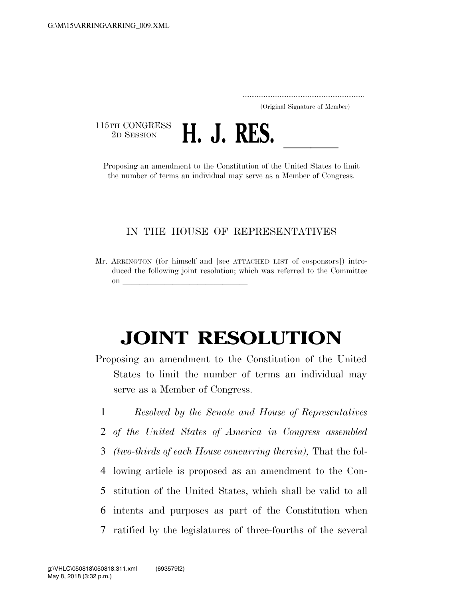..................................................................... (Original Signature of Member)

115TH CONGRESS<br>2D SESSION



2D SESSION **H. J. RES.** <u>Legendon Constitution of the United States to limit</u> the number of terms an individual may serve as a Member of Congress.

## IN THE HOUSE OF REPRESENTATIVES

Mr. ARRINGTON (for himself and [see ATTACHED LIST of cosponsors]) introduced the following joint resolution; which was referred to the Committee on **later and little little little** 

## **JOINT RESOLUTION**

Proposing an amendment to the Constitution of the United States to limit the number of terms an individual may serve as a Member of Congress.

 *Resolved by the Senate and House of Representatives of the United States of America in Congress assembled (two-thirds of each House concurring therein),* That the fol- lowing article is proposed as an amendment to the Con- stitution of the United States, which shall be valid to all intents and purposes as part of the Constitution when ratified by the legislatures of three-fourths of the several